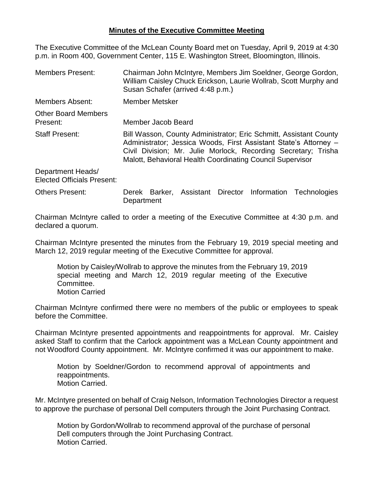## **Minutes of the Executive Committee Meeting**

The Executive Committee of the McLean County Board met on Tuesday, April 9, 2019 at 4:30 p.m. in Room 400, Government Center, 115 E. Washington Street, Bloomington, Illinois.

- Members Present: Chairman John McIntyre, Members Jim Soeldner, George Gordon, William Caisley Chuck Erickson, Laurie Wollrab, Scott Murphy and Susan Schafer (arrived 4:48 p.m.) Members Absent: Member Metsker Other Board Members Present: Member Jacob Beard Staff Present: Bill Wasson, County Administrator; Eric Schmitt, Assistant County Administrator; Jessica Woods, First Assistant State's Attorney – Civil Division; Mr. Julie Morlock, Recording Secretary; Trisha Malott, Behavioral Health Coordinating Council Supervisor Department Heads/ Elected Officials Present:
- Others Present: Derek Barker, Assistant Director Information Technologies Department

Chairman McIntyre called to order a meeting of the Executive Committee at 4:30 p.m. and declared a quorum.

Chairman McIntyre presented the minutes from the February 19, 2019 special meeting and March 12, 2019 regular meeting of the Executive Committee for approval.

Motion by Caisley/Wollrab to approve the minutes from the February 19, 2019 special meeting and March 12, 2019 regular meeting of the Executive Committee. Motion Carried

Chairman McIntyre confirmed there were no members of the public or employees to speak before the Committee.

Chairman McIntyre presented appointments and reappointments for approval. Mr. Caisley asked Staff to confirm that the Carlock appointment was a McLean County appointment and not Woodford County appointment. Mr. McIntyre confirmed it was our appointment to make.

Motion by Soeldner/Gordon to recommend approval of appointments and reappointments. Motion Carried.

Mr. McIntyre presented on behalf of Craig Nelson, Information Technologies Director a request to approve the purchase of personal Dell computers through the Joint Purchasing Contract.

Motion by Gordon/Wollrab to recommend approval of the purchase of personal Dell computers through the Joint Purchasing Contract. Motion Carried.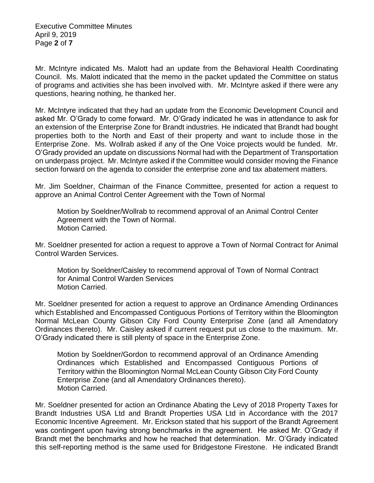Executive Committee Minutes April 9, 2019 Page **2** of **7**

Mr. McIntyre indicated Ms. Malott had an update from the Behavioral Health Coordinating Council. Ms. Malott indicated that the memo in the packet updated the Committee on status of programs and activities she has been involved with. Mr. McIntyre asked if there were any questions, hearing nothing, he thanked her.

Mr. McIntyre indicated that they had an update from the Economic Development Council and asked Mr. O'Grady to come forward. Mr. O'Grady indicated he was in attendance to ask for an extension of the Enterprise Zone for Brandt industries. He indicated that Brandt had bought properties both to the North and East of their property and want to include those in the Enterprise Zone. Ms. Wollrab asked if any of the One Voice projects would be funded. Mr. O'Grady provided an update on discussions Normal had with the Department of Transportation on underpass project. Mr. McIntyre asked if the Committee would consider moving the Finance section forward on the agenda to consider the enterprise zone and tax abatement matters.

Mr. Jim Soeldner, Chairman of the Finance Committee, presented for action a request to approve an Animal Control Center Agreement with the Town of Normal

Motion by Soeldner/Wollrab to recommend approval of an Animal Control Center Agreement with the Town of Normal. Motion Carried.

Mr. Soeldner presented for action a request to approve a Town of Normal Contract for Animal Control Warden Services.

Motion by Soeldner/Caisley to recommend approval of Town of Normal Contract for Animal Control Warden Services Motion Carried.

Mr. Soeldner presented for action a request to approve an Ordinance Amending Ordinances which Established and Encompassed Contiguous Portions of Territory within the Bloomington Normal McLean County Gibson City Ford County Enterprise Zone (and all Amendatory Ordinances thereto). Mr. Caisley asked if current request put us close to the maximum. Mr. O'Grady indicated there is still plenty of space in the Enterprise Zone.

Motion by Soeldner/Gordon to recommend approval of an Ordinance Amending Ordinances which Established and Encompassed Contiguous Portions of Territory within the Bloomington Normal McLean County Gibson City Ford County Enterprise Zone (and all Amendatory Ordinances thereto). Motion Carried.

Mr. Soeldner presented for action an Ordinance Abating the Levy of 2018 Property Taxes for Brandt Industries USA Ltd and Brandt Properties USA Ltd in Accordance with the 2017 Economic Incentive Agreement. Mr. Erickson stated that his support of the Brandt Agreement was contingent upon having strong benchmarks in the agreement. He asked Mr. O'Grady if Brandt met the benchmarks and how he reached that determination. Mr. O'Grady indicated this self-reporting method is the same used for Bridgestone Firestone. He indicated Brandt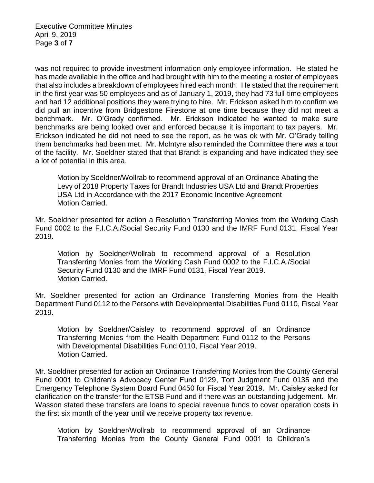Executive Committee Minutes April 9, 2019 Page **3** of **7**

was not required to provide investment information only employee information. He stated he has made available in the office and had brought with him to the meeting a roster of employees that also includes a breakdown of employees hired each month. He stated that the requirement in the first year was 50 employees and as of January 1, 2019, they had 73 full-time employees and had 12 additional positions they were trying to hire. Mr. Erickson asked him to confirm we did pull an incentive from Bridgestone Firestone at one time because they did not meet a benchmark. Mr. O'Grady confirmed. Mr. Erickson indicated he wanted to make sure benchmarks are being looked over and enforced because it is important to tax payers. Mr. Erickson indicated he did not need to see the report, as he was ok with Mr. O'Grady telling them benchmarks had been met. Mr. McIntyre also reminded the Committee there was a tour of the facility. Mr. Soeldner stated that that Brandt is expanding and have indicated they see a lot of potential in this area.

Motion by Soeldner/Wollrab to recommend approval of an Ordinance Abating the Levy of 2018 Property Taxes for Brandt Industries USA Ltd and Brandt Properties USA Ltd in Accordance with the 2017 Economic Incentive Agreement Motion Carried.

Mr. Soeldner presented for action a Resolution Transferring Monies from the Working Cash Fund 0002 to the F.I.C.A./Social Security Fund 0130 and the IMRF Fund 0131, Fiscal Year 2019.

Motion by Soeldner/Wollrab to recommend approval of a Resolution Transferring Monies from the Working Cash Fund 0002 to the F.I.C.A./Social Security Fund 0130 and the IMRF Fund 0131, Fiscal Year 2019. Motion Carried.

Mr. Soeldner presented for action an Ordinance Transferring Monies from the Health Department Fund 0112 to the Persons with Developmental Disabilities Fund 0110, Fiscal Year 2019.

Motion by Soeldner/Caisley to recommend approval of an Ordinance Transferring Monies from the Health Department Fund 0112 to the Persons with Developmental Disabilities Fund 0110, Fiscal Year 2019. Motion Carried.

Mr. Soeldner presented for action an Ordinance Transferring Monies from the County General Fund 0001 to Children's Advocacy Center Fund 0129, Tort Judgment Fund 0135 and the Emergency Telephone System Board Fund 0450 for Fiscal Year 2019. Mr. Caisley asked for clarification on the transfer for the ETSB Fund and if there was an outstanding judgement. Mr. Wasson stated these transfers are loans to special revenue funds to cover operation costs in the first six month of the year until we receive property tax revenue.

Motion by Soeldner/Wollrab to recommend approval of an Ordinance Transferring Monies from the County General Fund 0001 to Children's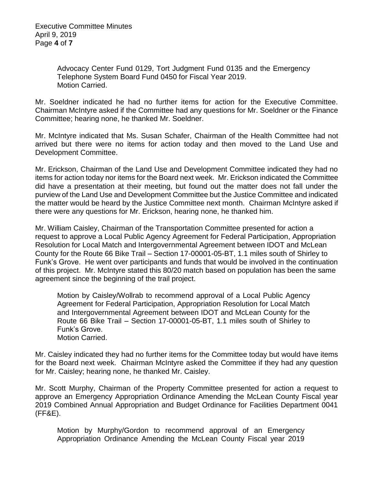Advocacy Center Fund 0129, Tort Judgment Fund 0135 and the Emergency Telephone System Board Fund 0450 for Fiscal Year 2019. Motion Carried.

Mr. Soeldner indicated he had no further items for action for the Executive Committee. Chairman McIntyre asked if the Committee had any questions for Mr. Soeldner or the Finance Committee; hearing none, he thanked Mr. Soeldner.

Mr. McIntyre indicated that Ms. Susan Schafer, Chairman of the Health Committee had not arrived but there were no items for action today and then moved to the Land Use and Development Committee.

Mr. Erickson, Chairman of the Land Use and Development Committee indicated they had no items for action today nor items for the Board next week. Mr. Erickson indicated the Committee did have a presentation at their meeting, but found out the matter does not fall under the purview of the Land Use and Development Committee but the Justice Committee and indicated the matter would be heard by the Justice Committee next month. Chairman McIntyre asked if there were any questions for Mr. Erickson, hearing none, he thanked him.

Mr. William Caisley, Chairman of the Transportation Committee presented for action a request to approve a Local Public Agency Agreement for Federal Participation, Appropriation Resolution for Local Match and Intergovernmental Agreement between IDOT and McLean County for the Route 66 Bike Trail – Section 17-00001-05-BT, 1.1 miles south of Shirley to Funk's Grove. He went over participants and funds that would be involved in the continuation of this project. Mr. McIntyre stated this 80/20 match based on population has been the same agreement since the beginning of the trail project.

Motion by Caisley/Wollrab to recommend approval of a Local Public Agency Agreement for Federal Participation, Appropriation Resolution for Local Match and Intergovernmental Agreement between IDOT and McLean County for the Route 66 Bike Trail – Section 17-00001-05-BT, 1.1 miles south of Shirley to Funk's Grove. Motion Carried.

Mr. Caisley indicated they had no further items for the Committee today but would have items for the Board next week. Chairman McIntyre asked the Committee if they had any question for Mr. Caisley; hearing none, he thanked Mr. Caisley.

Mr. Scott Murphy, Chairman of the Property Committee presented for action a request to approve an Emergency Appropriation Ordinance Amending the McLean County Fiscal year 2019 Combined Annual Appropriation and Budget Ordinance for Facilities Department 0041 (FF&E).

Motion by Murphy/Gordon to recommend approval of an Emergency Appropriation Ordinance Amending the McLean County Fiscal year 2019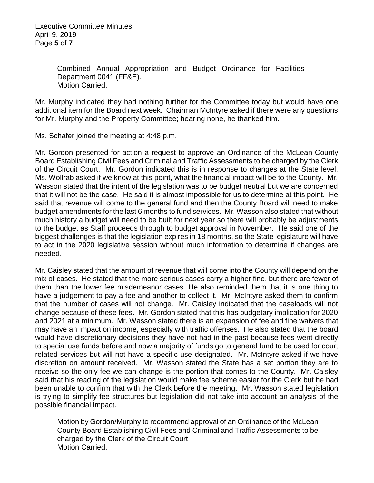Combined Annual Appropriation and Budget Ordinance for Facilities Department 0041 (FF&E). Motion Carried.

Mr. Murphy indicated they had nothing further for the Committee today but would have one additional item for the Board next week. Chairman McIntyre asked if there were any questions for Mr. Murphy and the Property Committee; hearing none, he thanked him.

Ms. Schafer joined the meeting at 4:48 p.m.

Mr. Gordon presented for action a request to approve an Ordinance of the McLean County Board Establishing Civil Fees and Criminal and Traffic Assessments to be charged by the Clerk of the Circuit Court. Mr. Gordon indicated this is in response to changes at the State level. Ms. Wollrab asked if we know at this point, what the financial impact will be to the County. Mr. Wasson stated that the intent of the legislation was to be budget neutral but we are concerned that it will not be the case. He said it is almost impossible for us to determine at this point. He said that revenue will come to the general fund and then the County Board will need to make budget amendments for the last 6 months to fund services. Mr. Wasson also stated that without much history a budget will need to be built for next year so there will probably be adjustments to the budget as Staff proceeds through to budget approval in November. He said one of the biggest challenges is that the legislation expires in 18 months, so the State legislature will have to act in the 2020 legislative session without much information to determine if changes are needed.

Mr. Caisley stated that the amount of revenue that will come into the County will depend on the mix of cases. He stated that the more serious cases carry a higher fine, but there are fewer of them than the lower fee misdemeanor cases. He also reminded them that it is one thing to have a judgement to pay a fee and another to collect it. Mr. McIntyre asked them to confirm that the number of cases will not change. Mr. Caisley indicated that the caseloads will not change because of these fees. Mr. Gordon stated that this has budgetary implication for 2020 and 2021 at a minimum. Mr. Wasson stated there is an expansion of fee and fine waivers that may have an impact on income, especially with traffic offenses. He also stated that the board would have discretionary decisions they have not had in the past because fees went directly to special use funds before and now a majority of funds go to general fund to be used for court related services but will not have a specific use designated. Mr. McIntyre asked if we have discretion on amount received. Mr. Wasson stated the State has a set portion they are to receive so the only fee we can change is the portion that comes to the County. Mr. Caisley said that his reading of the legislation would make fee scheme easier for the Clerk but he had been unable to confirm that with the Clerk before the meeting. Mr. Wasson stated legislation is trying to simplify fee structures but legislation did not take into account an analysis of the possible financial impact.

Motion by Gordon/Murphy to recommend approval of an Ordinance of the McLean County Board Establishing Civil Fees and Criminal and Traffic Assessments to be charged by the Clerk of the Circuit Court Motion Carried.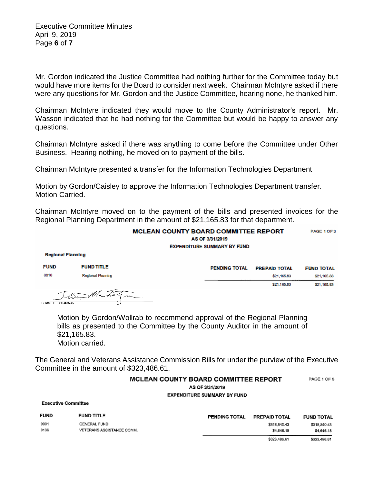Mr. Gordon indicated the Justice Committee had nothing further for the Committee today but would have more items for the Board to consider next week. Chairman McIntyre asked if there were any questions for Mr. Gordon and the Justice Committee, hearing none, he thanked him.

Chairman McIntyre indicated they would move to the County Administrator's report. Mr. Wasson indicated that he had nothing for the Committee but would be happy to answer any questions.

Chairman McIntyre asked if there was anything to come before the Committee under Other Business. Hearing nothing, he moved on to payment of the bills.

Chairman McIntyre presented a transfer for the Information Technologies Department

Motion by Gordon/Caisley to approve the Information Technologies Department transfer. Motion Carried.

Chairman McIntyre moved on to the payment of the bills and presented invoices for the Regional Planning Department in the amount of \$21,165.83 for that department.

| <b>MCLEAN COUNTY BOARD COMMITTEE REPORT</b><br>AS OF 3/31/2019 |                   |  |                      |                      | PAGE 1 OF 3       |
|----------------------------------------------------------------|-------------------|--|----------------------|----------------------|-------------------|
| <b>EXPENDITURE SUMMARY BY FUND</b>                             |                   |  |                      |                      |                   |
| <b>Regional Planning</b>                                       |                   |  |                      |                      |                   |
| <b>FUND</b>                                                    | <b>FUND TITLE</b> |  | <b>PENDING TOTAL</b> | <b>PREPAID TOTAL</b> | <b>FUND TOTAL</b> |
| 0010                                                           | Regional Planning |  |                      | \$21,165.83          | \$21,165.83       |
|                                                                |                   |  |                      | \$21,165.83          | \$21,165.83       |
| <b>COMMITTEE CHAIRMAN</b>                                      | to Mentile.       |  |                      |                      |                   |

Motion by Gordon/Wollrab to recommend approval of the Regional Planning bills as presented to the Committee by the County Auditor in the amount of \$21,165.83. Motion carried.

The General and Veterans Assistance Commission Bills for under the purview of the Executive Committee in the amount of \$323,486.61.

## MCLEAN COUNTY BOARD COMMITTEE REPORT PAGE 1 OF 5

AS OF 3/31/2019

**EXPENDITURE SUMMARY BY FUND** 

**Executive Committee** 

| <b>FUND</b>  | <b>FUND TITLE</b>                         | <b>PENDING TOTAL</b> | <b>PREPAID TOTAL</b>       | <b>FUND TOTAL</b>          |
|--------------|-------------------------------------------|----------------------|----------------------------|----------------------------|
| 0001<br>0136 | GENERAL FUND<br>VETERANS ASSISTANCE COMM. |                      | \$318,840.43<br>\$4,646.18 | \$318,840.43<br>\$4,646.18 |
|              |                                           |                      | \$323,486.61               | \$323,486.61               |